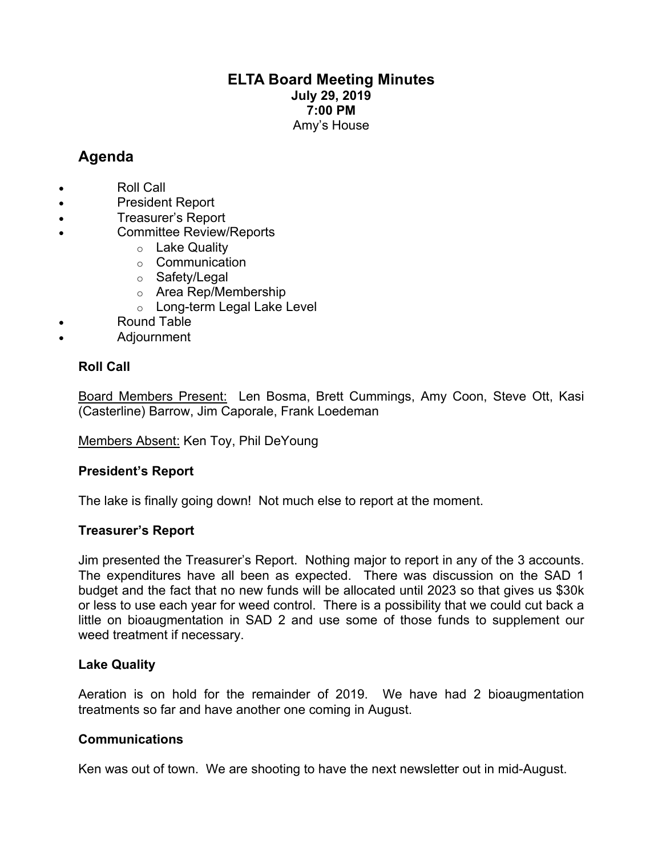# **ELTA Board Meeting Minutes July 29, 2019 7:00 PM** Amy's House

# **Agenda**

- Roll Call
- President Report
- Treasurer's Report
- Committee Review/Reports
	- o Lake Quality
	- o Communication
	- o Safety/Legal
	- o Area Rep/Membership
	- o Long-term Legal Lake Level
- Round Table
- Adjournment

### **Roll Call**

Board Members Present: Len Bosma, Brett Cummings, Amy Coon, Steve Ott, Kasi (Casterline) Barrow, Jim Caporale, Frank Loedeman

Members Absent: Ken Toy, Phil DeYoung

### **President's Report**

The lake is finally going down! Not much else to report at the moment.

### **Treasurer's Report**

Jim presented the Treasurer's Report. Nothing major to report in any of the 3 accounts. The expenditures have all been as expected. There was discussion on the SAD 1 budget and the fact that no new funds will be allocated until 2023 so that gives us \$30k or less to use each year for weed control. There is a possibility that we could cut back a little on bioaugmentation in SAD 2 and use some of those funds to supplement our weed treatment if necessary.

### **Lake Quality**

Aeration is on hold for the remainder of 2019. We have had 2 bioaugmentation treatments so far and have another one coming in August.

### **Communications**

Ken was out of town. We are shooting to have the next newsletter out in mid-August.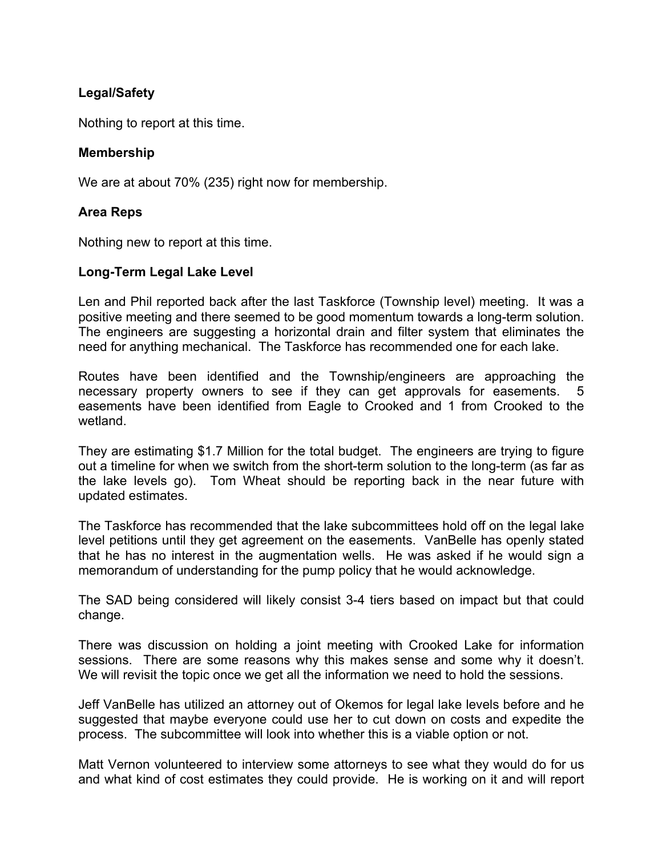# **Legal/Safety**

Nothing to report at this time.

### **Membership**

We are at about 70% (235) right now for membership.

### **Area Reps**

Nothing new to report at this time.

### **Long-Term Legal Lake Level**

Len and Phil reported back after the last Taskforce (Township level) meeting. It was a positive meeting and there seemed to be good momentum towards a long-term solution. The engineers are suggesting a horizontal drain and filter system that eliminates the need for anything mechanical. The Taskforce has recommended one for each lake.

Routes have been identified and the Township/engineers are approaching the necessary property owners to see if they can get approvals for easements. 5 easements have been identified from Eagle to Crooked and 1 from Crooked to the wetland.

They are estimating \$1.7 Million for the total budget. The engineers are trying to figure out a timeline for when we switch from the short-term solution to the long-term (as far as the lake levels go). Tom Wheat should be reporting back in the near future with updated estimates.

The Taskforce has recommended that the lake subcommittees hold off on the legal lake level petitions until they get agreement on the easements. VanBelle has openly stated that he has no interest in the augmentation wells. He was asked if he would sign a memorandum of understanding for the pump policy that he would acknowledge.

The SAD being considered will likely consist 3-4 tiers based on impact but that could change.

There was discussion on holding a joint meeting with Crooked Lake for information sessions. There are some reasons why this makes sense and some why it doesn't. We will revisit the topic once we get all the information we need to hold the sessions.

Jeff VanBelle has utilized an attorney out of Okemos for legal lake levels before and he suggested that maybe everyone could use her to cut down on costs and expedite the process. The subcommittee will look into whether this is a viable option or not.

Matt Vernon volunteered to interview some attorneys to see what they would do for us and what kind of cost estimates they could provide. He is working on it and will report